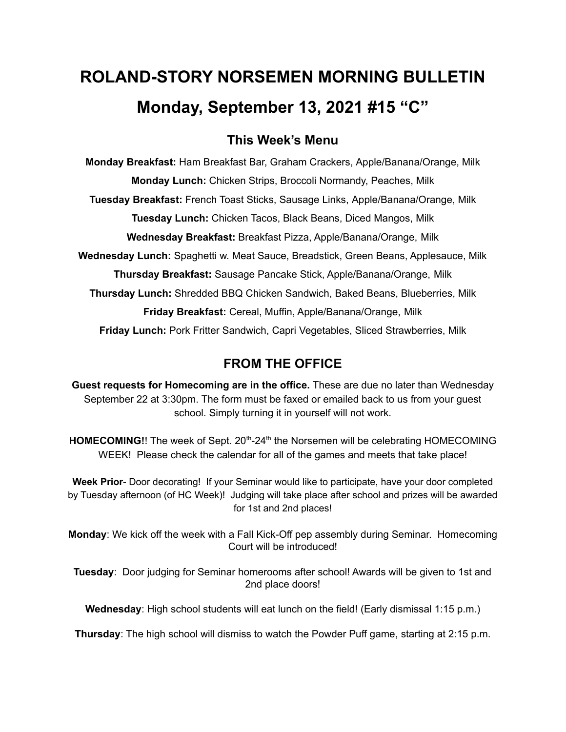# **ROLAND-STORY NORSEMEN MORNING BULLETIN Monday, September 13, 2021 #15 "C"**

### **This Week's Menu**

**Monday Breakfast:** Ham Breakfast Bar, Graham Crackers, Apple/Banana/Orange, Milk **Monday Lunch:** Chicken Strips, Broccoli Normandy, Peaches, Milk **Tuesday Breakfast:** French Toast Sticks, Sausage Links, Apple/Banana/Orange, Milk **Tuesday Lunch:** Chicken Tacos, Black Beans, Diced Mangos, Milk **Wednesday Breakfast:** Breakfast Pizza, Apple/Banana/Orange, Milk **Wednesday Lunch:** Spaghetti w. Meat Sauce, Breadstick, Green Beans, Applesauce, Milk **Thursday Breakfast:** Sausage Pancake Stick, Apple/Banana/Orange, Milk **Thursday Lunch:** Shredded BBQ Chicken Sandwich, Baked Beans, Blueberries, Milk **Friday Breakfast:** Cereal, Muffin, Apple/Banana/Orange, Milk **Friday Lunch:** Pork Fritter Sandwich, Capri Vegetables, Sliced Strawberries, Milk

## **FROM THE OFFICE**

**Guest requests for Homecoming are in the office.** These are due no later than Wednesday September 22 at 3:30pm. The form must be faxed or emailed back to us from your guest school. Simply turning it in yourself will not work.

HOMECOMING!! The week of Sept. 20<sup>th</sup>-24<sup>th</sup> the Norsemen will be celebrating HOMECOMING WEEK! Please check the calendar for all of the games and meets that take place!

**Week Prior**- Door decorating! If your Seminar would like to participate, have your door completed by Tuesday afternoon (of HC Week)! Judging will take place after school and prizes will be awarded for 1st and 2nd places!

**Monday**: We kick off the week with a Fall Kick-Off pep assembly during Seminar. Homecoming Court will be introduced!

**Tuesday**: Door judging for Seminar homerooms after school! Awards will be given to 1st and 2nd place doors!

**Wednesday**: High school students will eat lunch on the field! (Early dismissal 1:15 p.m.)

**Thursday**: The high school will dismiss to watch the Powder Puff game, starting at 2:15 p.m.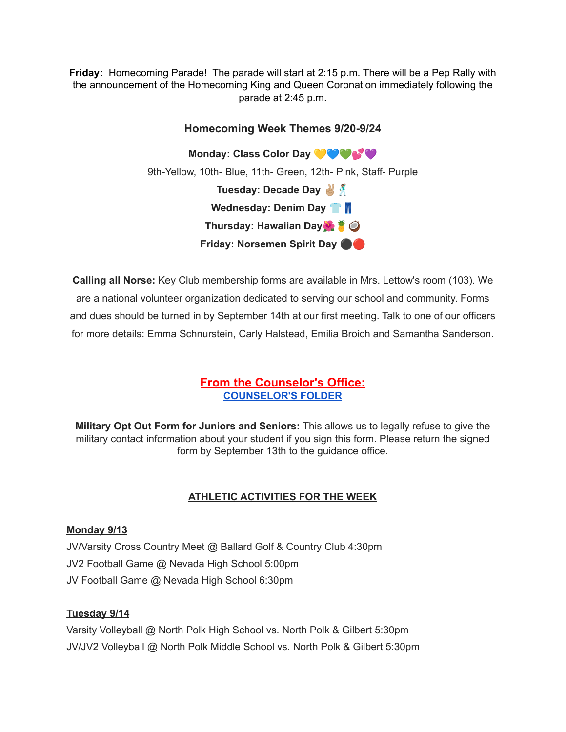**Friday:** Homecoming Parade! The parade will start at 2:15 p.m. There will be a Pep Rally with the announcement of the Homecoming King and Queen Coronation immediately following the parade at 2:45 p.m.

# **Homecoming Week Themes 9/20-9/24 Monday: Class Color Day** 9th-Yellow, 10th- Blue, 11th- Green, 12th- Pink, Staff- Purple **Tuesday: Decade Day Wednesday: Denim Day Thursday: Hawaiian Day Friday: Norsemen Spirit Day** ⚫️

**Calling all Norse:** Key Club membership forms are available in Mrs. Lettow's room (103). We are a national volunteer organization dedicated to serving our school and community. Forms and dues should be turned in by September 14th at our first meeting. Talk to one of our officers for more details: Emma Schnurstein, Carly Halstead, Emilia Broich and Samantha Sanderson.

#### **From the Counselor's Office: [COUNSELOR'S](https://docs.google.com/document/d/1vmwczNPbDzXe9vFaG5LJMQ7NYDv-i4oQJHybqA65TUc/edit?usp=sharing) FOLDER**

**Military Opt Out Form for Juniors and Seniors:** This allows us to legally refuse to give the military contact information about your student if you sign this form. Please return the signed form by September 13th to the guidance office.

#### **ATHLETIC ACTIVITIES FOR THE WEEK**

#### **Monday 9/13**

JV/Varsity Cross Country Meet @ Ballard Golf & Country Club 4:30pm JV2 Football Game @ Nevada High School 5:00pm JV Football Game @ Nevada High School 6:30pm

#### **Tuesday 9/14**

Varsity Volleyball @ North Polk High School vs. North Polk & Gilbert 5:30pm JV/JV2 Volleyball @ North Polk Middle School vs. North Polk & Gilbert 5:30pm